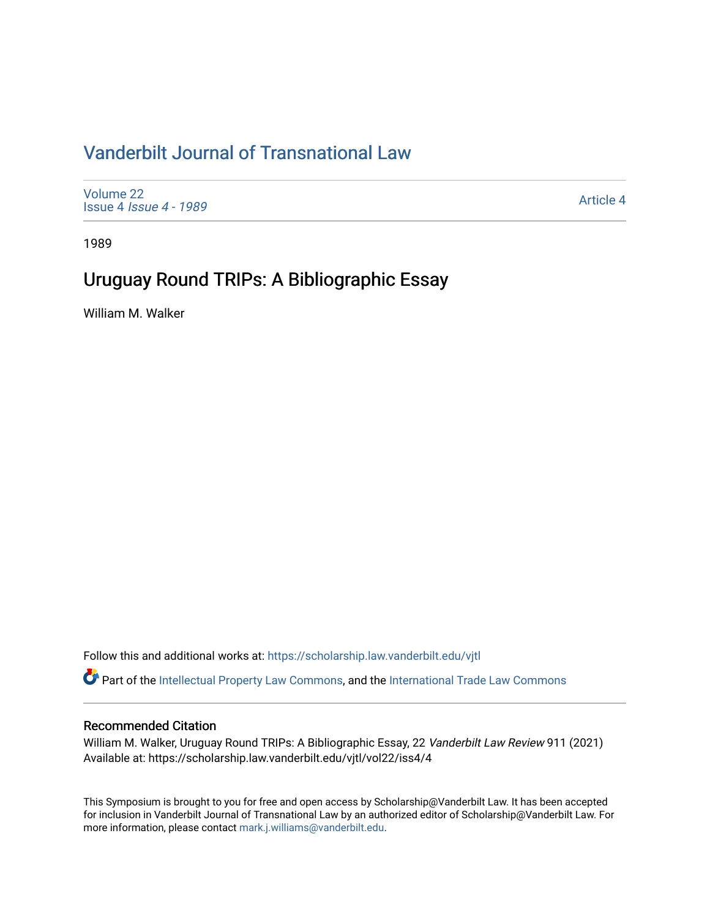# [Vanderbilt Journal of Transnational Law](https://scholarship.law.vanderbilt.edu/vjtl)

[Volume 22](https://scholarship.law.vanderbilt.edu/vjtl/vol22) Issue 4 [Issue 4 - 1989](https://scholarship.law.vanderbilt.edu/vjtl/vol22/iss4)

[Article 4](https://scholarship.law.vanderbilt.edu/vjtl/vol22/iss4/4) 

1989

# Uruguay Round TRIPs: A Bibliographic Essay

William M. Walker

Follow this and additional works at: [https://scholarship.law.vanderbilt.edu/vjtl](https://scholarship.law.vanderbilt.edu/vjtl?utm_source=scholarship.law.vanderbilt.edu%2Fvjtl%2Fvol22%2Fiss4%2F4&utm_medium=PDF&utm_campaign=PDFCoverPages) 

Part of the [Intellectual Property Law Commons,](http://network.bepress.com/hgg/discipline/896?utm_source=scholarship.law.vanderbilt.edu%2Fvjtl%2Fvol22%2Fiss4%2F4&utm_medium=PDF&utm_campaign=PDFCoverPages) and the [International Trade Law Commons](http://network.bepress.com/hgg/discipline/848?utm_source=scholarship.law.vanderbilt.edu%2Fvjtl%2Fvol22%2Fiss4%2F4&utm_medium=PDF&utm_campaign=PDFCoverPages) 

### Recommended Citation

William M. Walker, Uruguay Round TRIPs: A Bibliographic Essay, 22 Vanderbilt Law Review 911 (2021) Available at: https://scholarship.law.vanderbilt.edu/vjtl/vol22/iss4/4

This Symposium is brought to you for free and open access by Scholarship@Vanderbilt Law. It has been accepted for inclusion in Vanderbilt Journal of Transnational Law by an authorized editor of Scholarship@Vanderbilt Law. For more information, please contact [mark.j.williams@vanderbilt.edu](mailto:mark.j.williams@vanderbilt.edu).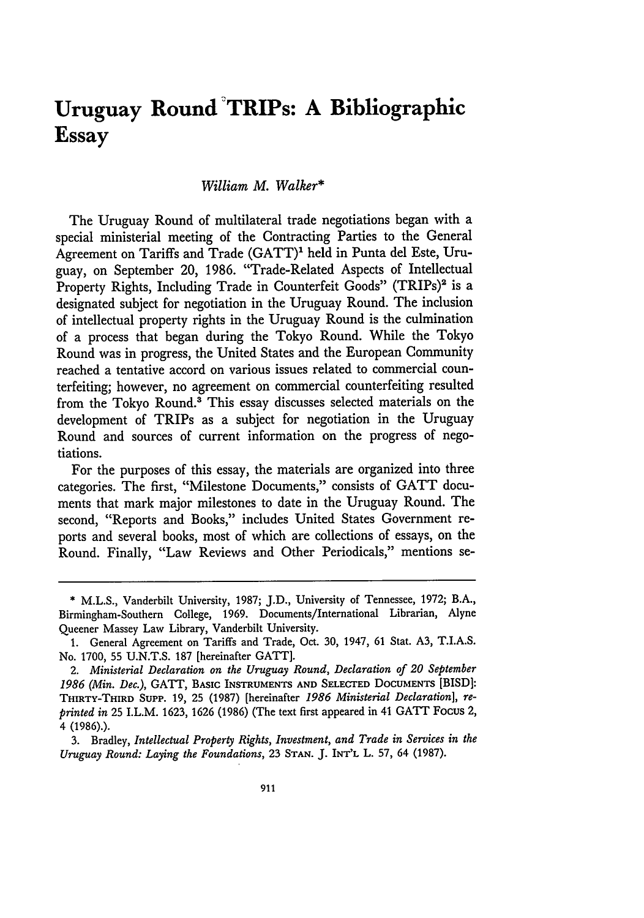# **Uruguay Round TRIPs: A Bibliographic Essay**

#### *William M. Walker\**

The Uruguay Round of multilateral trade negotiations began with a special ministerial meeting of the Contracting Parties to the General Agreement on Tariffs and Trade (GATT)' held in Punta del Este, Uruguay, on September 20, 1986. "Trade-Related Aspects of Intellectual Property Rights, Including Trade in Counterfeit Goods" (TRIPs)<sup>2</sup> is a designated subject for negotiation in the Uruguay Round. The inclusion of intellectual property rights in the Uruguay Round is the culmination of a process that began during the Tokyo Round. While the Tokyo Round was in progress, the United States and the European Community reached a tentative accord on various issues related to commercial counterfeiting; however, no agreement on commercial counterfeiting resulted from the Tokyo Round.<sup>3</sup> This essay discusses selected materials on the development of TRIPs as a subject for negotiation in the Uruguay Round and sources of current information on the progress of negotiations.

For the purposes of this essay, the materials are organized into three categories. The first, "Milestone Documents," consists of GATT documents that mark major milestones to date in the Uruguay Round. The second, "Reports and Books," includes United States Government reports and several books, most of which are collections of essays, on the Round. Finally, "Law Reviews and Other Periodicals," mentions se-

<sup>\*</sup> M.L.S., Vanderbilt University, 1987; J.D., University of Tennessee, 1972; B.A., Birmingham-Southern College, 1969. Documents/International Librarian, Alyne Queener Massey Law Library, Vanderbilt University.

<sup>1.</sup> General Agreement on Tariffs and Trade, Oct. 30, 1947, 61 Stat. A3, T.I.A.S. No. 1700, **55** U.N.T.S. 187 [hereinafter **GATT].**

<sup>2.</sup> *Ministerial Declaration on the Uruguay Round, Declaration of 20 September 1986 (Min. Dec.),* **GATT, BASIC INSTRUMENTS AND SELECTED DOCUMENTS [BISD]: THIRTY-THIRD SuPP. 19, 25 (1987)** [hereinafter *1986 Ministerial Declaration], reprinted in* **25** I.L.M. **1623,** 1626 **(1986)** (The text first appeared in 41 **GATT** Focus 2, 4 (1986).).

<sup>3.</sup> Bradley, *Intellectual Property Rights, Investment, and Trade in Services in the Uruguay Round: Laying the Foundations,* 23 **STAN.** J. INT'L L. 57, 64 (1987).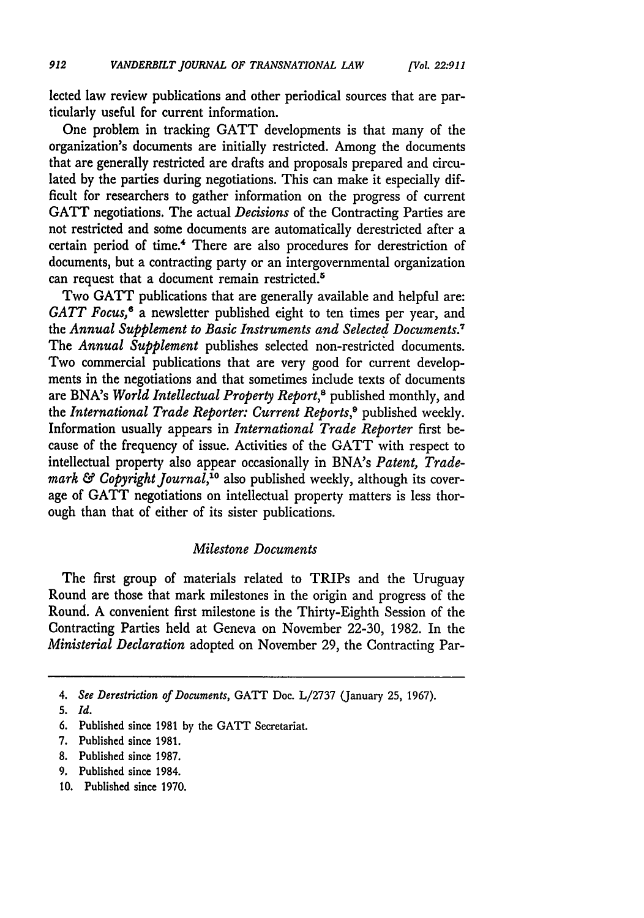lected law review publications and other periodical sources that are particularly useful for current information.

*['Vol. 22.911*

One problem in tracking GATT developments is that many of the organization's documents are initially restricted. Among the documents that are generally restricted are drafts and proposals prepared and circulated by the parties during negotiations. This can make it especially difficult for researchers to gather information on the progress of current GATT negotiations. The actual *Decisions* of the Contracting Parties are not restricted and some documents are automatically derestricted after a certain period of time.4 There are also procedures for derestriction of documents, but a contracting party or an intergovernmental organization can request that a document remain restricted.<sup>5</sup>

Two GATT publications that are generally available and helpful are: GATT Focus,<sup>6</sup> a newsletter published eight to ten times per year, and the *Annual Supplement to Basic Instruments and Selected Documents.7* The *Annual Supplement* publishes selected non-restricted documents. Two commercial publications that are very good for current developments in the negotiations and that sometimes include texts of documents are BNA's *World Intellectual Property Report*,<sup>8</sup> published monthly, and the *International Trade Reporter: Current Reports,9* published weekly. Information usually appears in *International Trade Reporter* first because of the frequency of issue. Activities of the GATT with respect to intellectual property also appear occasionally in BNA's *Patent, Trademark & Copyright Journal,10* also published weekly, although its coverage of GATT negotiations on intellectual property matters is less thorough than that of either of its sister publications.

#### *Milestone Documents*

The first group of materials related to TRIPs and the Uruguay Round are those that mark milestones in the origin and progress of the Round. A convenient first milestone is the Thirty-Eighth Session of the Contracting Parties held at Geneva on November 22-30, 1982. In the *Ministerial Declaration* adopted on November 29, the Contracting Par-

- 6. Published since 1981 by the GATT Secretariat.
- 7. Published since 1981.
- 8. Published since 1987.
- 9. Published since 1984.
- 10. Published since 1970.

<sup>4.</sup> *See Derestriction of Documents,* GATT Doc. L/2737 (January 25, 1967).

**<sup>5.</sup>** *Id.*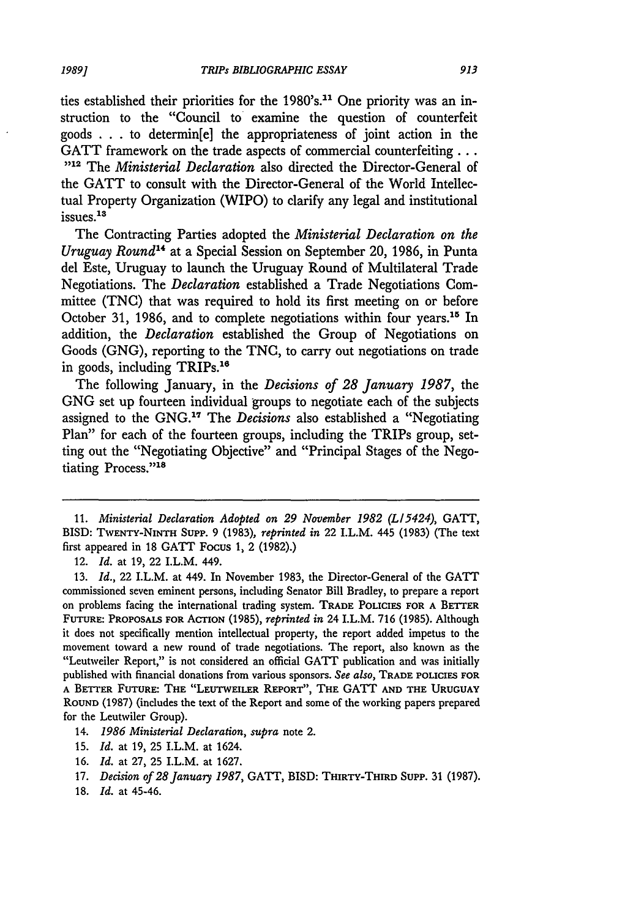ties established their priorities for the 1980's.<sup>11</sup> One priority was an instruction to the "Council to examine the question of counterfeit goods . . **.** to determin[e] the appropriateness of joint action in the GATT framework on the trade aspects of commercial counterfeiting... **)512** The *Ministerial Declaration* also directed the Director-General of the GATT to consult with the Director-General of the World Intellectual Property Organization (WIPO) to clarify any legal and institutional issues.<sup>13</sup>

The Contracting Parties adopted the *Ministerial Declaration on the Uruguay Round*<sup>14</sup> at a Special Session on September 20, 1986, in Punta del Este, Uruguay to launch the Uruguay Round of Multilateral Trade Negotiations. The *Declaration* established a Trade Negotiations Committee (TNC) that was required to hold its first meeting on or before October 31, 1986, and to complete negotiations within four years.<sup>15</sup> In addition, the *Declaration* established the Group of Negotiations on Goods (GNG), reporting to the TNC, to carry out negotiations on trade in goods, including TRIPs.<sup>16</sup>

The following January, in the *Decisions of 28 January 1987,* the GNG set up fourteen individual groups to negotiate each of the subjects assigned to the GNG.<sup>17</sup> The *Decisions* also established a "Negotiating" Plan" for each of the fourteen groups, including the TRIPs group, setting out the "Negotiating Objective" and "Principal Stages of the Negotiating Process."18

13. *Id.,* 22 I.L.M. at 449. In November 1983, the Director-General of the GATT commissioned seven eminent persons, including Senator Bill Bradley, to prepare a report on problems facing the international trading system. TRADE **POLICIES FOR A** BETTER **FUTURE: PROPOSALS FOR** ACTION (1985), *reprinted in* 24 I.L.M. **716** (1985). Although it does not specifically mention intellectual property, the report added impetus to the movement toward a new round of trade negotiations. The report, also known as the "Leutweiler Report," is not considered an official GATT publication and was initially published with financial donations from various sponsors. *See also,* TRADE **POLICIES FOR A BETTER FUTURE: THE "LEUTWEILER REPORT", THE GATT AND THE URUGUAY ROUND** (1987) (includes the text of the Report and some of the working papers prepared for the Leutwiler Group).

- 15. *Id.* at 19, 25 I.L.M. at 1624.
- 16. *Id.* at 27, 25 I.L.M. at 1627.
- 17. *Decision of 28January 1987,* GATT, BISD: **THIRTY-THIRD** Supp. 31 (1987).
- 18. *Id.* at 45-46.

<sup>11.</sup> *Ministerial Declaration Adopted on 29 November 1982 (L15424),* GATT, BISD: TWENTY-NINTH **SuPP.** 9 (1983), *reprinted in* 22 I.L.M. 445 (1983) (The text first appeared in 18 GATT Focus 1, 2 (1982).)

<sup>12.</sup> *Id.* at 19, 22 I.L.M. 449.

<sup>14.</sup> *1986 Ministerial Declaration, supra* note 2.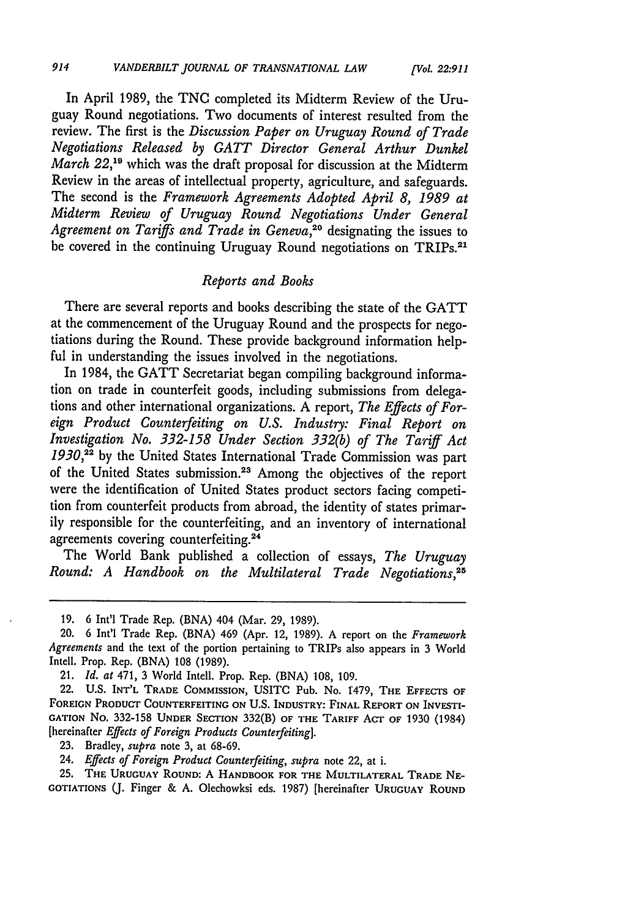In April 1989, the TNC completed its Midterm Review of the Uruguay Round negotiations. Two documents of interest resulted from the review. The first is the *Discussion Paper on Uruguay Round of Trade Negotiations Released by GATT Director General Arthur Dunkel March* 22,<sup>19</sup> which was the draft proposal for discussion at the Midterm Review in the areas of intellectual property, agriculture, and safeguards. The second is the *Framework Agreements Adopted April 8, 1989 at Midterm Review of Uruguay Round Negotiations Under General* Agreement on Tariffs and Trade in Geneva,<sup>20</sup> designating the issues to be covered in the continuing Uruguay Round negotiations on TRIPs.<sup>21</sup>

#### *Reports and Books*

There are several reports and books describing the state of the GATT at the commencement of the Uruguay Round and the prospects for negotiations during the Round. These provide background information helpful in understanding the issues involved in the negotiations.

In 1984, the GATT Secretariat began compiling background information on trade in counterfeit goods, including submissions from delegations and other international organizations. A report, *The Effects of Foreign Product Counterfeiting on U.S. Industry: Final Report on Investigation No. 332-158 Under Section 332(b) of The Tariff Act 1930,22* by the United States International Trade Commission was part of the United States submission.23 Among the objectives of the report were the identification of United States product sectors facing competition from counterfeit products from abroad, the identity of states primarily responsible for the counterfeiting, and an inventory of international agreements covering counterfeiting.<sup>24</sup>

The World Bank published a collection of essays, *The Uruguay Round: A Handbook on the Multilateral Trade Negotiations,25*

<sup>19. 6</sup> Int'l Trade Rep. (BNA) 404 (Mar. 29, 1989).

<sup>20. 6</sup> Int'l Trade Rep. (BNA) 469 (Apr. 12, 1989). A report on the *Framework Agreements* and the text of the portion pertaining to TRIPs also appears in 3 World Intell. Prop. Rep. (BNA) 108 (1989).

<sup>21.</sup> *Id. at* 471, 3 World Intell. Prop. Rep. (BNA) 108, 109.

<sup>22.</sup> **U.S. INT'L** TRADE COMMISSION, USITC Pub. No. 1479, THE **EFFECTS OF FOREIGN** PRODUCT **COUNTERFEITING ON** U.S. INDUSTRY: FINAL REPORT **ON** INVESTI-GATION **No. 332-158 UNDER** SECTION 332(B) **OF** THE TARIFF ACT OF 1930 (1984) [hereinafter *Effects of Foreign Products Counterfeiting].*

**<sup>23.</sup>** Bradley, *supra* note **3, at** 68-69.

<sup>24.</sup> *Effects of Foreign Product Counterfeiting, supra* note 22, at i.

**<sup>25.</sup> THE URUGUAY ROUND:** A **HANDBOOK FOR THE MULTILATERAL TRADE NE-GOTIATIONS (. Finger** & **A. Olechowksi eds. 1987)** [hereinafter **URUGUAY ROUND**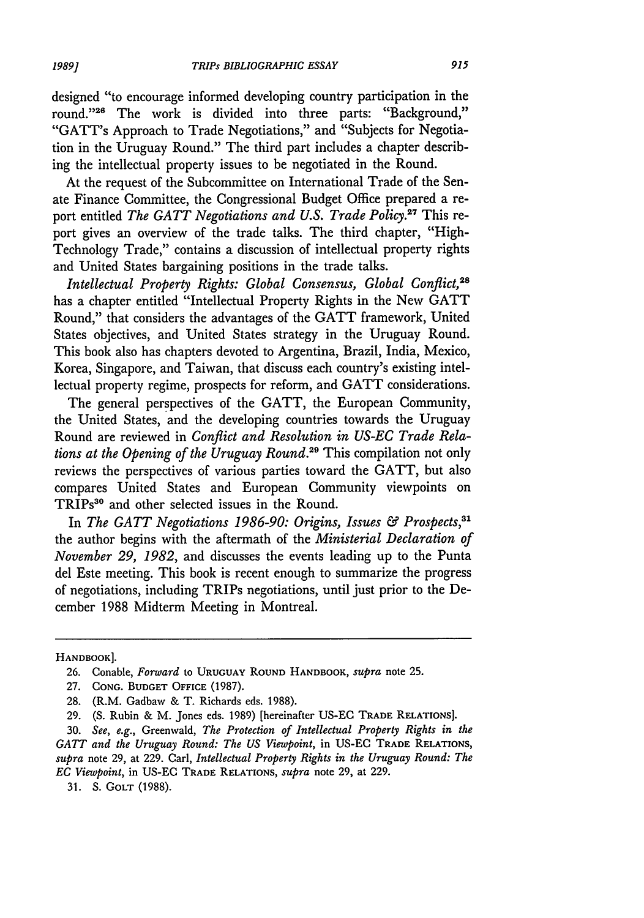designed "to encourage informed developing country participation in the round."<sup>26</sup> The work is divided into three parts: "Background," "GATT's Approach to Trade Negotiations," and "Subjects for Negotiation in the Uruguay Round." The third part includes a chapter describing the intellectual property issues to be negotiated in the Round.

At the request of the Subcommittee on International Trade of the Senate Finance Committee, the Congressional Budget Office prepared a report entitled *The GATT Negotiations and U.S. Trade Policy.*<sup>27</sup> This report gives an overview of the trade talks. The third chapter, "High-Technology Trade," contains a discussion of intellectual property rights and United States bargaining positions in the trade talks.

*Intellectual Property Rights: Global Consensus, Global Conflict,28* has a chapter entitled "Intellectual Property Rights in the New GATT Round," that considers the advantages of the GATT framework, United States objectives, and United States strategy in the Uruguay Round. This book also has chapters devoted to Argentina, Brazil, India, Mexico, Korea, Singapore, and Taiwan, that discuss each country's existing intellectual property regime, prospects for reform, and GATT considerations.

The general perspectives of the GATT, the European Community, the United States, and the developing countries towards the Uruguay Round are reviewed in *Conflict and Resolution in US-EC Trade Relations at the Opening of the Uruguay Round.29* This compilation not only reviews the perspectives of various parties toward the GATT, but also compares United States and European Community viewpoints on TRIPs<sup>30</sup> and other selected issues in the Round.

In *The GATT Negotiations 1986-90: Origins, Issues & Prospects,31* the author begins with the aftermath of the *Ministerial Declaration of November 29, 1982,* and discusses the events leading up to the Punta del Este meeting. This book is recent enough to summarize the progress of negotiations, including TRIPs negotiations, until just prior to the December 1988 Midterm Meeting in Montreal.

HANDBOOK].

31. S. GOLT (1988).

<sup>26.</sup> Conable, *Forward* to **URUGUAY** ROUND HANDBOOK, *supra* note **25.**

<sup>27.</sup> **CONG. BUDGET** OFFICE (1987).

<sup>28. (</sup>R.M. Gadbaw & T. Richards eds. 1988).

<sup>29. (</sup>S. Rubin & M. Jones eds. 1989) [hereinafter US-EC **TRADE** RELATIONS].

<sup>30.</sup> *See, e.g.,* Greenwald, *The Protection of Intellectual Property Rights in the GATT and the Uruguay Round: The US Viewpoint,* in US-EC TRADE **RELATIONS,** *supra* note 29, at 229. Carl, *Intellectual Property Rights in the Uruguay Round: The EC Viewpoint,* in US-EC **TRADE RELATIONS,** *supra* note 29, at 229.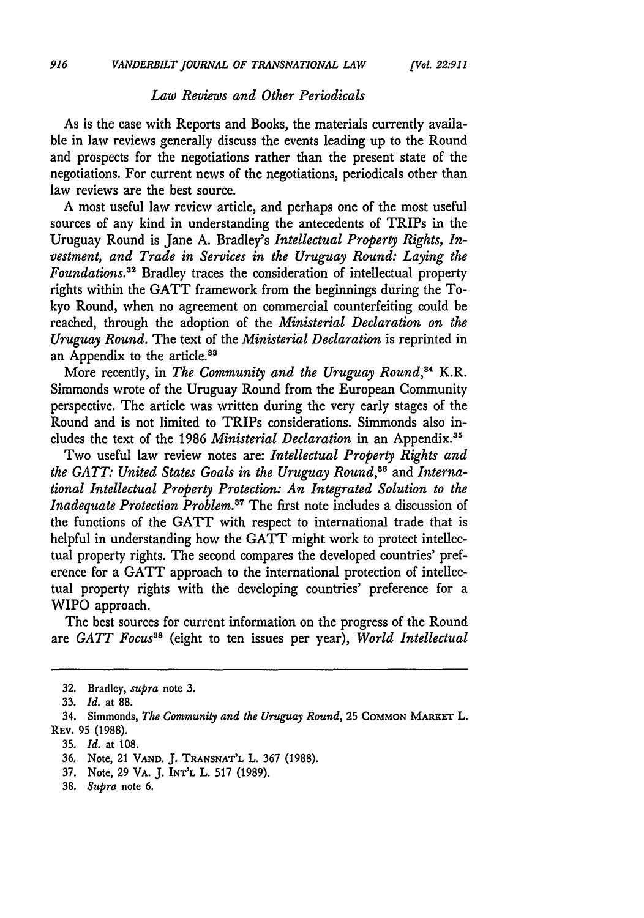#### *Law Reviews and Other Periodicals*

As is the case with Reports and Books, the materials currently available in law reviews generally discuss the events leading up to the Round and prospects for the negotiations rather than the present state of the negotiations. For current news of the negotiations, periodicals other than law reviews are the best source.

A most useful law review article, and perhaps one of the most useful sources of any kind in understanding the antecedents of TRIPs in the Uruguay Round is Jane A. Bradley's *Intellectual Property Rights, Investment, and Trade in Services in the Uruguay Round: Laying the Foundations.3 <sup>2</sup>*Bradley traces the consideration of intellectual property rights within the GATT framework from the beginnings during the Tokyo Round, when no agreement on commercial counterfeiting could be reached, through the adoption of the *Ministerial Declaration on the Uruguay Round.* The text of the *Ministerial Declaration* is reprinted in an Appendix to the article.<sup>33</sup>

More recently, in *The Community and the Uruguay Round*,<sup>34</sup> K.R. Simmonds wrote of the Uruguay Round from the European Community perspective. The article was written during the very early stages of the Round and is not limited to TRIPs considerations. Simmonds also includes the text of the **1986** *Ministerial Declaration* in an Appendix."

Two useful law review notes are: *Intellectual Property Rights and the GATT: United States Goals in the Uruguay Round,36* and *International Intellectual Property Protection: An Integrated Solution to the Inadequate Protection Problem.* The first note includes a discussion of the functions of the GATT with respect to international trade that is helpful in understanding how the GATT might work to protect intellectual property rights. The second compares the developed countries' preference for a GATT approach to the international protection of intellectual property rights with the developing countries' preference for a WIPO approach.

The best sources for current information on the progress of the Round are *GATT Focus38* (eight to ten issues per year), *World Intellectual*

- **37.** Note, 29 VA. **J. INT'L** L. **517** (1989).
- **38.** *Supra* note **6.**

<sup>32.</sup> Bradley, *supra* note 3.

**<sup>33.</sup>** *Id.* at 88.

<sup>34.</sup> Simmonds, *The Community and the Uruguay Round,* **25 COMMON** MARKET L. **REv. 95 (1988).**

**<sup>35.</sup>** *Id.* at **108.**

<sup>36.</sup> Note, 21 **VAND. J. TRANSNAT'L** L. 367 **(1988).**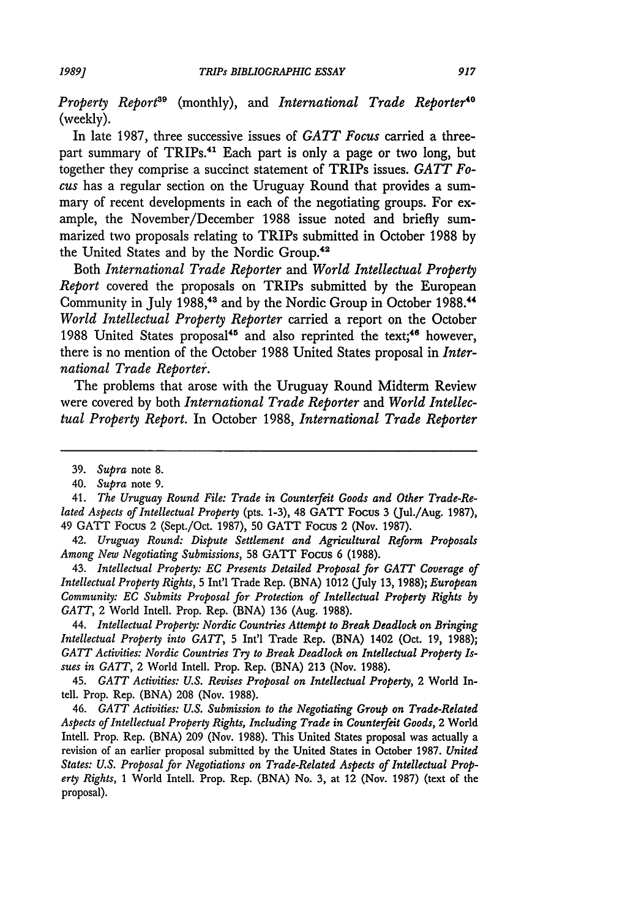*Property Report*<sup>39</sup> (monthly), and *International Trade Reporter*<sup>40</sup> (weekly).

In late 1987, three successive issues of *GATT Focus* carried a threepart summary of TRIPs.<sup>41</sup> Each part is only a page or two long, but together they comprise a succinct statement of TRIPs issues. *GATT Focus* has a regular section on the Uruguay Round that provides a summary of recent developments in each of the negotiating groups. For example, the November/December 1988 issue noted and briefly summarized two proposals relating to TRIPs submitted in October 1988 by the United States and by the Nordic Group.<sup>42</sup>

Both *International Trade Reporter* and *World Intellectual Property Report* covered the proposals on TRIPs submitted by the European Community in July 1988,<sup>43</sup> and by the Nordic Group in October 1988.<sup>44</sup> *World Intellectual Property Reporter* carried a report on the October 1988 United States proposal<sup>45</sup> and also reprinted the text;<sup>46</sup> however, there is no mention of the October 1988 United States proposal in *International Trade Reporter'.*

The problems that arose with the Uruguay Round Midterm Review were covered by both *International Trade Reporter* and *World Intellectual Property Report.* In October 1988, *International Trade Reporter*

41. *The Uruguay Round File: Trade in Counterfeit Goods and Other Trade-Related Aspects of Intellectual Property* (pts. 1-3), 48 GATT Focus 3 (Jul./Aug. 1987), 49 GATT Focus 2 (Sept./Oct. 1987), **50** GATT Focus 2 (Nov. 1987).

42. *Uruguay Round: Dispute Settlement and Agricultural Reform Proposals Among New Negotiating Submissions,* **58** GATT Focus 6 (1988).

43. *Intellectual Property: EC Presents Detailed Proposal for GATT Coverage of Intellectual Property Rights,* 5 Int'l Trade Rep. (BNA) 1012 (July 13, 1988); *European Community: EC Submits Proposal for Protection of Intellectual Property Rights by GATT,* 2 World Intell. Prop. Rep. (BNA) 136 (Aug. 1988).

44. *Intellectual Property: Nordic Countries Attempt to Break Deadlock on Bringing Intellectual Property into GATT,* **5** Int'l Trade Rep. (BNA) 1402 (Oct. 19, 1988); *GATT Activities: Nordic Countries Try to Break Deadlock on Intellectual Property Issues in GATT,* 2 World Intell. Prop. Rep. (BNA) 213 (Nov. 1988).

45. *GATT Activities: U.S. Revises Proposal on Intellectual Property,* 2 World Intell. Prop. Rep. (BNA) 208 (Nov. 1988).

46. *GATT Activities: U.S. Submission to the Negotiating Group on Trade-Related Aspects of Intellectual Property Rights, Including Trade in Counterfeit Goods,* 2 World Intell. Prop. Rep. (BNA) 209 (Nov. 1988). This United States proposal was actually a revision of an earlier proposal submitted by the United States in October 1987. *United States: U.S. Proposal for Negotiations on Trade-Related Aspects of Intellectual Property Rights,* 1 World Intell. Prop. Rep. (BNA) No. 3, at 12 (Nov. 1987) (text of the proposal).

<sup>39.</sup> *Supra* note 8.

<sup>40.</sup> *Supra* note 9.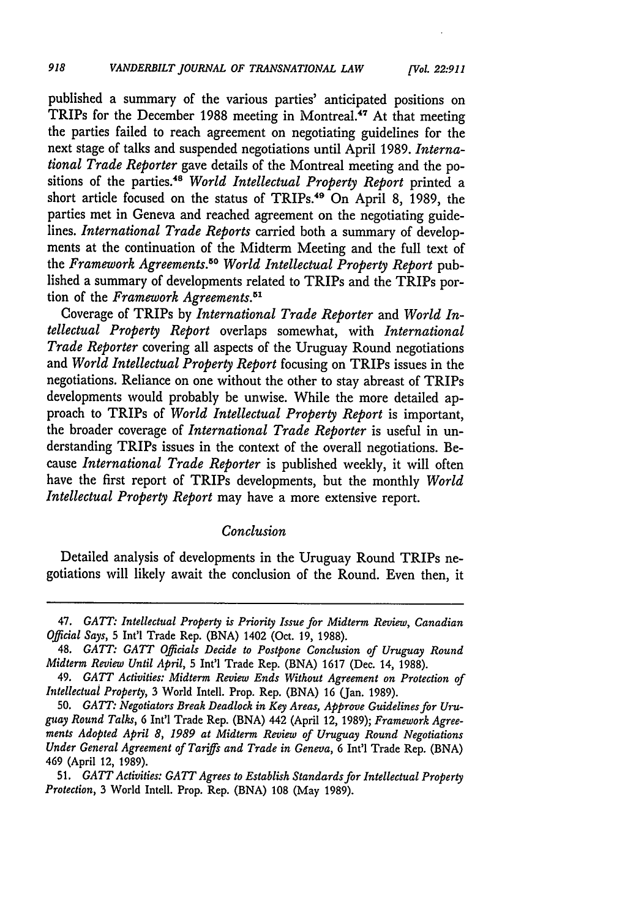published a summary of the various parties' anticipated positions on TRIPs for the December 1988 meeting in Montreal.<sup>47</sup> At that meeting the parties failed to reach agreement on negotiating guidelines for the next stage of talks and suspended negotiations until April 1989. *International Trade Reporter* gave details of the Montreal meeting and the positions of the parties.<sup>48</sup> World Intellectual Property Report printed a short article focused on the status of TRIPs.<sup>49</sup> On April 8, 1989, the parties met in Geneva and reached agreement on the negotiating guidelines. *International Trade Reports* carried both a summary of developments at the continuation of the Midterm Meeting and the full text of the *Framework Agreements." World Intellectual Property Report* published a summary of developments related to TRIPs and the TRIPs portion of the *Framework Agreements.5'*

Coverage of TRIPs by *International Trade Reporter* and *World Intellectual Property Report* overlaps somewhat, with *International Trade Reporter* covering all aspects of the Uruguay Round negotiations and *World Intellectual Property Report* focusing on TRIPs issues in the negotiations. Reliance on one without the other to stay abreast of TRIPs developments would probably be unwise. While the more detailed approach to TRIPs of *World Intellectual Property Report* is important, the broader coverage of *International Trade Reporter* is useful in understanding TRIPs issues in the context of the overall negotiations. Because *International Trade Reporter* is published weekly, it will often have the first report of TRIPs developments, but the monthly *World Intellectual Property Report* may have a more extensive report.

#### *Conclusion*

Detailed analysis of developments in the Uruguay Round TRIPs negotiations will likely await the conclusion of the Round. Even then, it

<sup>47.</sup> *GATT: Intellectual Property is Priority Issue for Midterm Review, Canadian Official Says,* 5 Int'l Trade Rep. (BNA) 1402 (Oct. 19, 1988).

<sup>48.</sup> *GATT: GATT Officials Decide to Postpone Conclusion of Uruguay Round Midterm Review Until April,* 5 Int'l Trade Rep. (BNA) 1617 (Dec. 14, 1988).

<sup>49.</sup> *GATT Activities: Midterm Review Ends Without Agreement on Protection of Intellectual Property,* 3 World Intell. Prop. Rep. (BNA) 16 (Jan. 1989).

<sup>50.</sup> *GATT: Negotiators Break Deadlock in Key Areas, Approve Guidelines for Uruguay Round Talks,* 6 Int'l Trade Rep. (BNA) 442 (April 12, 1989); *Framework Agreements Adopted April 8, 1989 at Midterm Review of Uruguay Round Negotiations Under General Agreement of Tariffs and Trade in Geneva,* 6 Int'l Trade Rep. (BNA) 469 (April 12, 1989).

<sup>51.</sup> *GATT Activities: GATT Agrees to Establish Standards for Intellectual Property Protection,* 3 World Intcll. Prop. Rep. (BNA) 108 (May 1989).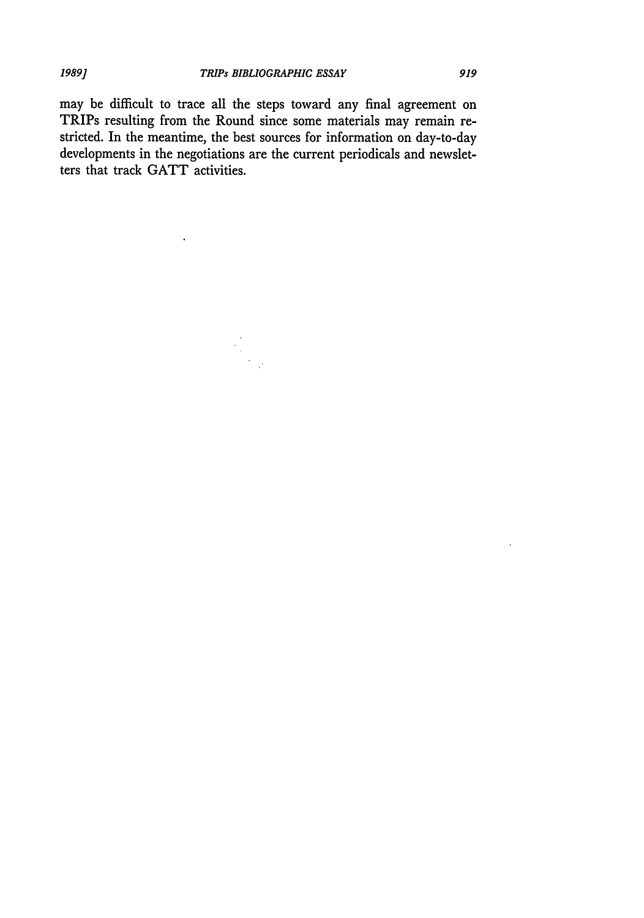may be difficult to trace all the steps toward any final agreement on TRIPs resulting from the Round since some materials may remain restricted. In the meantime, the best sources for information on day-to-day developments in the negotiations are the current periodicals and newsletters that track GATT activities.

 $\mathbf{r}$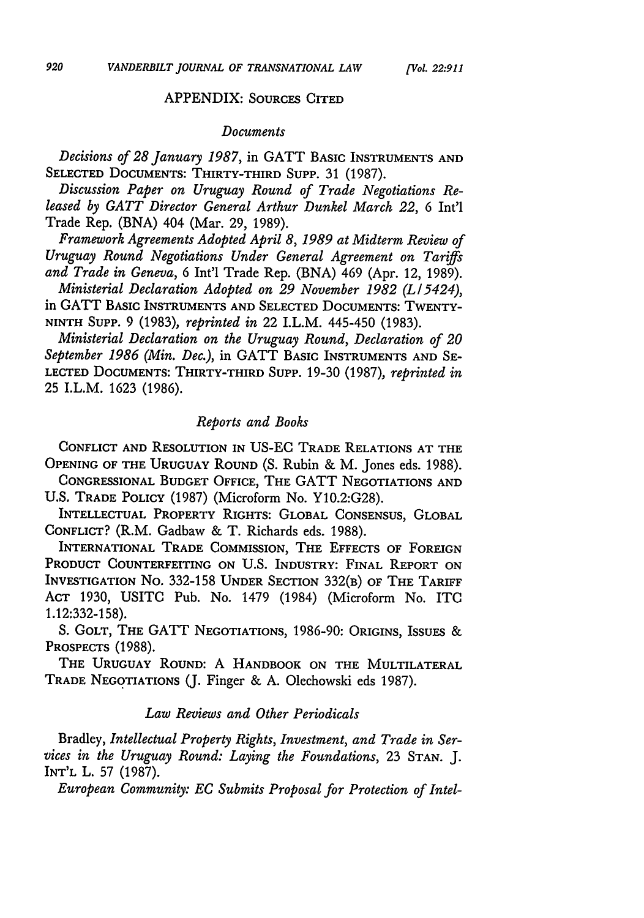#### APPENDIX: SOURCES CITED

#### *Documents*

*Decisions of 28 January 1987,* in GATT BASIC INSTRUMENTS **AND SELECTED** DOCUMENTS: THIRTY-THIRD Supp. 31 (1987).

*Discussion Paper on Uruguay Round of Trade Negotiations Released by GATT Director General Arthur Dunkel March 22,* 6 Int'l Trade Rep. (BNA) 404 (Mar. 29, 1989).

*Framework Agreements Adopted April 8, 1989 at Midterm Review of Uruguay Round Negotiations Under General Agreement on Tariffs and Trade in Geneva,* 6 Int'l Trade Rep. (BNA) 469 (Apr. 12, 1989).

*Ministerial Declaration Adopted on 29 November 1982 (L15424),* in GATT **BASIC** INSTRUMENTS AND SELECTED DOCUMENTS: TWENTY-NINTH **SUPP.** 9 (1983), *reprinted in* 22 I.L.M. 445-450 (1983).

*Ministerial Declaration on the Uruguay Round, Declaration of 20 September 1986 (Min. Dec.),* in GATT BASIC INSTRUMENTS AND SE-LECTED DOCUMENTS: THIRTY-THIRD SUPP. 19-30 (1987), *reprinted in* 25 I.L.M. 1623 (1986).

### *Reports and Books*

CONFLICT AND RESOLUTION IN US-EC TRADE RELATIONS AT THE OPENING OF THE URUGUAY ROUND (S. Rubin & M. Jones eds. 1988).

CONGRESSIONAL BUDGET OFFICE, THE GATT NEGOTIATIONS **AND** U.S. TRADE POLICY (1987) (Microform No. Y10.2:G28).

INTELLECTUAL PROPERTY RIGHTS: GLOBAL CONSENSUS, GLOBAL CONFLICT? (R.M. Gadbaw & T. Richards eds. 1988).

INTERNATIONAL TRADE COMMISSION, THE EFFECTS OF FOREIGN PRODUCT COUNTERFEITING **ON U.S.** INDUSTRY: **FINAL** REPORT **ON** INVESTIGATION No. 332-158 UNDER SECTION 332(B) OF THE TARIFF ACT 1930, USITC Pub. No. 1479 (1984) (Microform No. ITC 1.12:332-158).

**S.** GOLT, THE GATT NEGOTIATIONS, 1986-90: ORIGINS, ISSUES & PROSPECTS (1988).

THE **URUGUAY** ROUND: A HANDBOOK ON THE MULTILATERAL TRADE NEGOTIATIONS **(J.** Finger & A. Olechowski eds 1987).

#### *Law Reviews and Other Periodicals*

Bradley, *Intellectual Property Rights, Investment, and Trade in Services in the Uruguay Round: Laying the Foundations,* 23 **STAN. J.** INT'L L. 57 (1987).

*European Community: EC Submits Proposal for Protection of Intel-*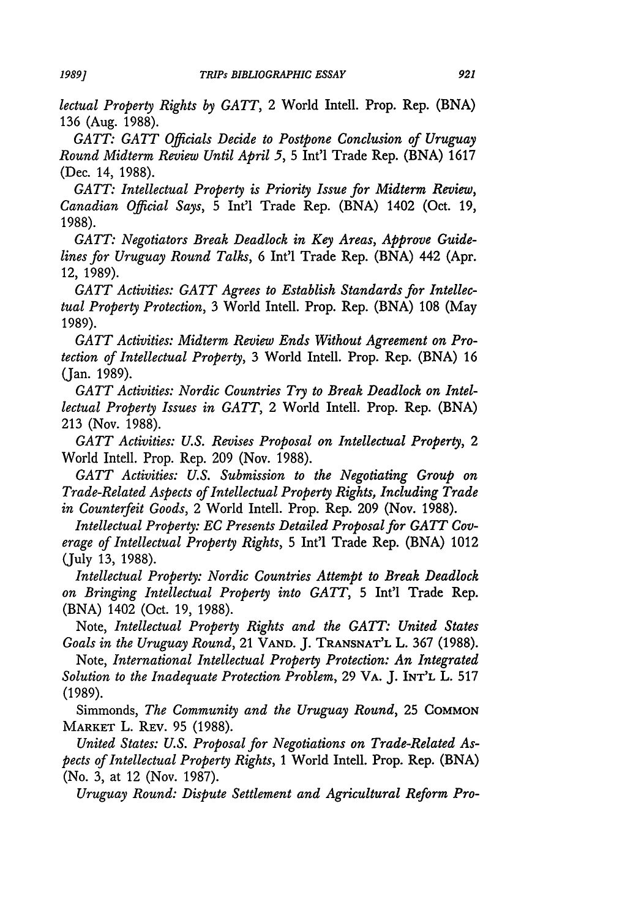*lectual Property Rights by GATT,* 2 World Intell. Prop. Rep. (BNA) 136 (Aug. 1988).

*GATT: GATT Officials Decide to Postpone Conclusion of Uruguay Round Midterm Review Until April 5,* 5 Int'l Trade Rep. (BNA) 1617 (Dec. 14, 1988).

*GATT: Intellectual Property is Priority Issue for Midterm Review, Canadian Official Says,* 5 Int'l Trade Rep. (BNA) 1402 (Oct. 19, 1988).

*GATT: Negotiators Break Deadlock in Key Areas, Approve Guidelines for Uruguay Round Talks,* 6 Int'l Trade Rep. (BNA) 442 (Apr. 12, 1989).

*GATT Activities: GATT Agrees to Establish Standards for Intellectual Property Protection,* 3 World Intell. Prop. Rep. (BNA) 108 (May 1989).

*GATT Activities: Midterm Review Ends Without Agreement on Protection of Intellectual Property,* 3 World Intell. Prop. Rep. (BNA) 16 (Jan. 1989).

*GATT Activities: Nordic Countries Try to Break Deadlock on Intellectual Property Issues in GATT,* 2 World Intell. Prop. Rep. (BNA) 213 (Nov. 1988).

*GATT Activities: U.S. Revises Proposal on Intellectual Property, 2* World Intell. Prop. Rep. 209 (Nov. 1988).

*GATT Activities: U.S. Submission to the Negotiating Group on Trade-Related Aspects of Intellectual Property Rights, Including Trade in Counterfeit Goods,* 2 World Intell. Prop. Rep. 209 (Nov. 1988).

*Intellectual Property: EC Presents Detailed Proposal for GATT Coverage of Intellectual Property Rights,* 5 Int'l Trade Rep. (BNA) 1012 (July 13, 1988).

*Intellectual Property: Nordic Countries Attempt to Break Deadlock on Bringing Intellectual Property into GATT,* 5 Int'l Trade Rep. (BNA) 1402 (Oct. 19, 1988).

Note, *Intellectual Property Rights and the GATT: United States Goals in the Uruguay Round,* 21 **VAND.** J. **TRANSNAT'L** L. 367 (1988).

Note, *International Intellectual Property Protection: An Integrated Solution to the Inadequate Protection Problem,* 29 VA. J. INT'L L. 517 (1989).

Simmonds, *The Community and the Uruguay Round,* 25 **COMMON** MARKET L. REV. 95 (1988).

*United States: U.S. Proposal for Negotiations on Trade-Related Aspects of Intellectual Property Rights, 1* World Intell. Prop. Rep. (BNA) (No. 3, at 12 (Nov. 1987).

*Uruguay Round: Dispute Settlement and Agricultural Reform Pro-*